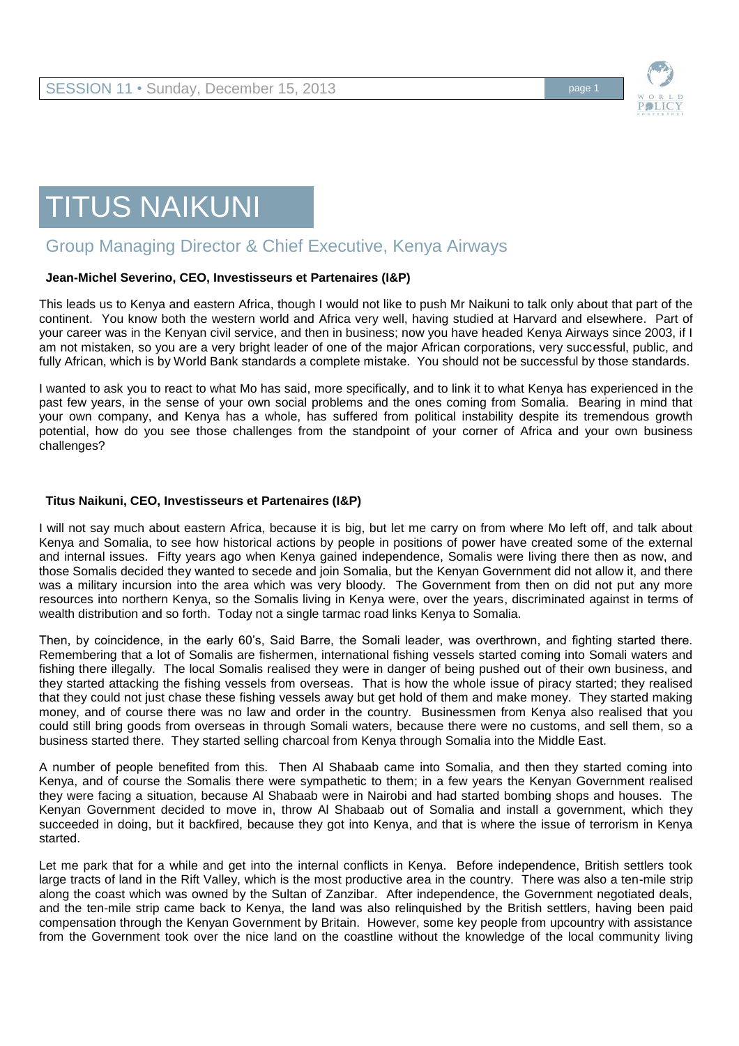

# TITUS NAIKUNI

## Group Managing Director & Chief Executive, Kenya Airways

### **Jean-Michel Severino, CEO, Investisseurs et Partenaires (I&P)**

This leads us to Kenya and eastern Africa, though I would not like to push Mr Naikuni to talk only about that part of the continent. You know both the western world and Africa very well, having studied at Harvard and elsewhere. Part of your career was in the Kenyan civil service, and then in business; now you have headed Kenya Airways since 2003, if I am not mistaken, so you are a very bright leader of one of the major African corporations, very successful, public, and fully African, which is by World Bank standards a complete mistake. You should not be successful by those standards.

I wanted to ask you to react to what Mo has said, more specifically, and to link it to what Kenya has experienced in the past few years, in the sense of your own social problems and the ones coming from Somalia. Bearing in mind that your own company, and Kenya has a whole, has suffered from political instability despite its tremendous growth potential, how do you see those challenges from the standpoint of your corner of Africa and your own business challenges?

### **Titus Naikuni, CEO, Investisseurs et Partenaires (I&P)**

I will not say much about eastern Africa, because it is big, but let me carry on from where Mo left off, and talk about Kenya and Somalia, to see how historical actions by people in positions of power have created some of the external and internal issues. Fifty years ago when Kenya gained independence, Somalis were living there then as now, and those Somalis decided they wanted to secede and join Somalia, but the Kenyan Government did not allow it, and there was a military incursion into the area which was very bloody. The Government from then on did not put any more resources into northern Kenya, so the Somalis living in Kenya were, over the years, discriminated against in terms of wealth distribution and so forth. Today not a single tarmac road links Kenya to Somalia.

Then, by coincidence, in the early 60's, Said Barre, the Somali leader, was overthrown, and fighting started there. Remembering that a lot of Somalis are fishermen, international fishing vessels started coming into Somali waters and fishing there illegally. The local Somalis realised they were in danger of being pushed out of their own business, and they started attacking the fishing vessels from overseas. That is how the whole issue of piracy started; they realised that they could not just chase these fishing vessels away but get hold of them and make money. They started making money, and of course there was no law and order in the country. Businessmen from Kenya also realised that you could still bring goods from overseas in through Somali waters, because there were no customs, and sell them, so a business started there. They started selling charcoal from Kenya through Somalia into the Middle East.

A number of people benefited from this. Then Al Shabaab came into Somalia, and then they started coming into Kenya, and of course the Somalis there were sympathetic to them; in a few years the Kenyan Government realised they were facing a situation, because Al Shabaab were in Nairobi and had started bombing shops and houses. The Kenyan Government decided to move in, throw Al Shabaab out of Somalia and install a government, which they succeeded in doing, but it backfired, because they got into Kenya, and that is where the issue of terrorism in Kenya started.

Let me park that for a while and get into the internal conflicts in Kenya. Before independence, British settlers took large tracts of land in the Rift Valley, which is the most productive area in the country. There was also a ten-mile strip along the coast which was owned by the Sultan of Zanzibar. After independence, the Government negotiated deals, and the ten-mile strip came back to Kenya, the land was also relinquished by the British settlers, having been paid compensation through the Kenyan Government by Britain. However, some key people from upcountry with assistance from the Government took over the nice land on the coastline without the knowledge of the local community living